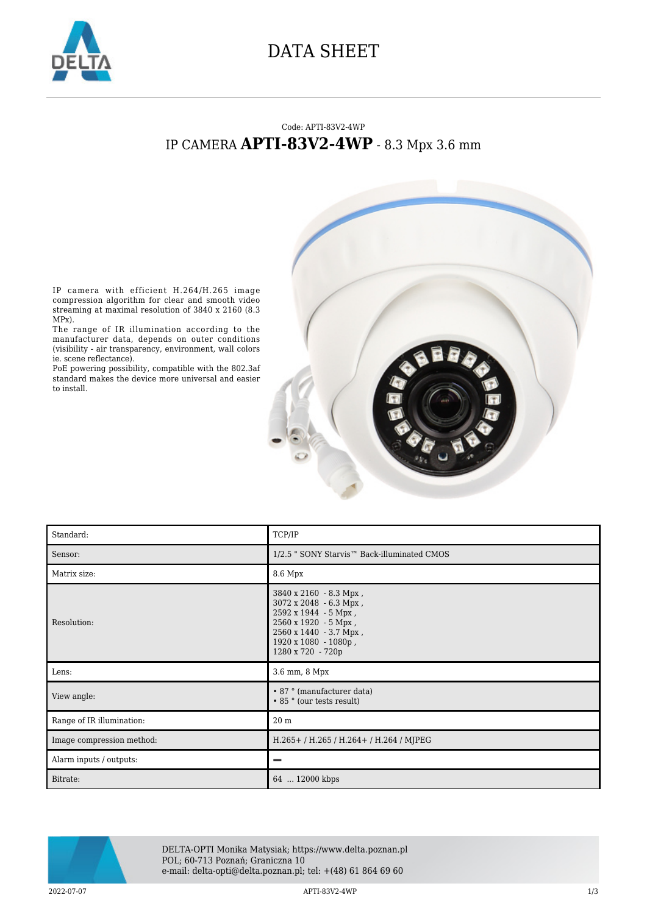

## DATA SHEET

## Code: APTI-83V2-4WP IP CAMERA **APTI-83V2-4WP** - 8.3 Mpx 3.6 mm



IP camera with efficient H.264/H.265 image compression algorithm for clear and smooth video streaming at maximal resolution of 3840 x 2160 (8.3 MPx).

The range of IR illumination according to the manufacturer data, depends on outer conditions (visibility - air transparency, environment, wall colors ie. scene reflectance).

PoE powering possibility, compatible with the 802.3af standard makes the device more universal and easier to install.

| Standard:                 | TCP/IP                                                                                                                                                                  |
|---------------------------|-------------------------------------------------------------------------------------------------------------------------------------------------------------------------|
| Sensor:                   | 1/2.5 " SONY Starvis™ Back-illuminated CMOS                                                                                                                             |
| Matrix size:              | 8.6 Mpx                                                                                                                                                                 |
| Resolution:               | 3840 x 2160 - 8.3 Mpx,<br>3072 x 2048 - 6.3 Mpx,<br>2592 x 1944 - 5 Mpx,<br>2560 x 1920 - 5 Mpx,<br>2560 x 1440 - 3.7 Mpx,<br>1920 x 1080 - 1080p,<br>1280 x 720 - 720p |
| Lens:                     | 3.6 mm, 8 Mpx                                                                                                                                                           |
| View angle:               | • 87 ° (manufacturer data)<br>• 85 ° (our tests result)                                                                                                                 |
| Range of IR illumination: | 20 <sub>m</sub>                                                                                                                                                         |
| Image compression method: | H.265+/H.265/H.264+/H.264/MJPEG                                                                                                                                         |
| Alarm inputs / outputs:   |                                                                                                                                                                         |
| Bitrate:                  | 64  12000 kbps                                                                                                                                                          |



DELTA-OPTI Monika Matysiak; https://www.delta.poznan.pl POL; 60-713 Poznań; Graniczna 10 e-mail: delta-opti@delta.poznan.pl; tel: +(48) 61 864 69 60

2022-07-07 APTI-83V2-4WP 1/3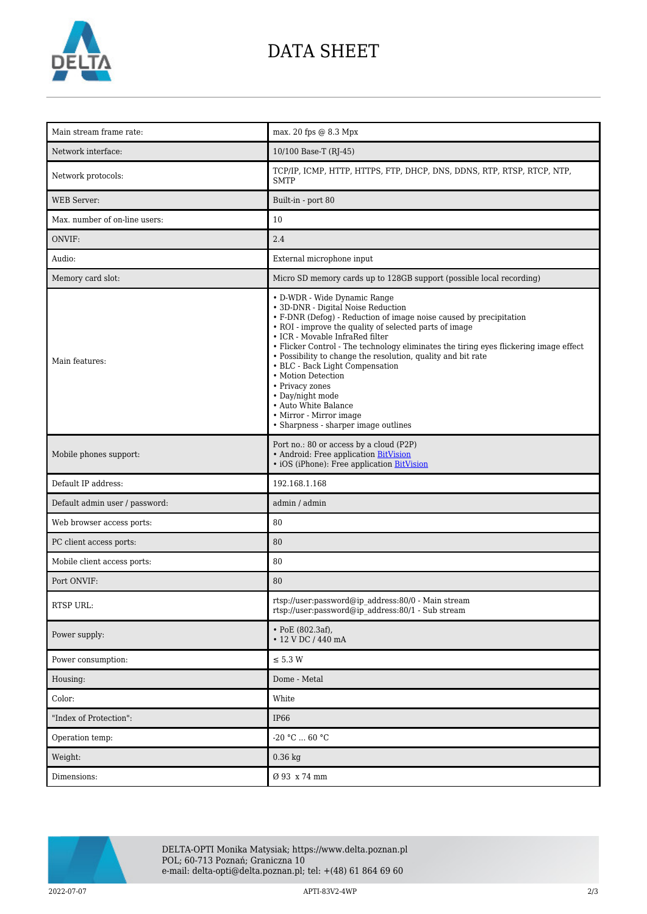

## DATA SHEET

| Main stream frame rate:        | max. 20 fps @ 8.3 Mpx                                                                                                                                                                                                                                                                                                                                                                                                                                                                                                                                                                     |
|--------------------------------|-------------------------------------------------------------------------------------------------------------------------------------------------------------------------------------------------------------------------------------------------------------------------------------------------------------------------------------------------------------------------------------------------------------------------------------------------------------------------------------------------------------------------------------------------------------------------------------------|
| Network interface:             | 10/100 Base-T (RJ-45)                                                                                                                                                                                                                                                                                                                                                                                                                                                                                                                                                                     |
| Network protocols:             | TCP/IP, ICMP, HTTP, HTTPS, FTP, DHCP, DNS, DDNS, RTP, RTSP, RTCP, NTP,<br><b>SMTP</b>                                                                                                                                                                                                                                                                                                                                                                                                                                                                                                     |
| <b>WEB</b> Server:             | Built-in - port 80                                                                                                                                                                                                                                                                                                                                                                                                                                                                                                                                                                        |
| Max. number of on-line users:  | 10                                                                                                                                                                                                                                                                                                                                                                                                                                                                                                                                                                                        |
| ONVIF:                         | 2.4                                                                                                                                                                                                                                                                                                                                                                                                                                                                                                                                                                                       |
| Audio:                         | External microphone input                                                                                                                                                                                                                                                                                                                                                                                                                                                                                                                                                                 |
| Memory card slot:              | Micro SD memory cards up to 128GB support (possible local recording)                                                                                                                                                                                                                                                                                                                                                                                                                                                                                                                      |
| Main features:                 | • D-WDR - Wide Dynamic Range<br>• 3D-DNR - Digital Noise Reduction<br>• F-DNR (Defog) - Reduction of image noise caused by precipitation<br>• ROI - improve the quality of selected parts of image<br>• ICR - Movable InfraRed filter<br>• Flicker Control - The technology eliminates the tiring eyes flickering image effect<br>• Possibility to change the resolution, quality and bit rate<br>• BLC - Back Light Compensation<br>• Motion Detection<br>• Privacy zones<br>• Day/night mode<br>• Auto White Balance<br>• Mirror - Mirror image<br>• Sharpness - sharper image outlines |
| Mobile phones support:         | Port no.: 80 or access by a cloud (P2P)<br>• Android: Free application BitVision<br>• iOS (iPhone): Free application BitVision                                                                                                                                                                                                                                                                                                                                                                                                                                                            |
| Default IP address:            | 192.168.1.168                                                                                                                                                                                                                                                                                                                                                                                                                                                                                                                                                                             |
| Default admin user / password: | admin / admin                                                                                                                                                                                                                                                                                                                                                                                                                                                                                                                                                                             |
| Web browser access ports:      | 80                                                                                                                                                                                                                                                                                                                                                                                                                                                                                                                                                                                        |
| PC client access ports:        | 80                                                                                                                                                                                                                                                                                                                                                                                                                                                                                                                                                                                        |
| Mobile client access ports:    | 80                                                                                                                                                                                                                                                                                                                                                                                                                                                                                                                                                                                        |
| Port ONVIF:                    | 80                                                                                                                                                                                                                                                                                                                                                                                                                                                                                                                                                                                        |
| RTSP URL:                      | rtsp://user:password@ip_address:80/0 - Main stream<br>rtsp://user:password@ip_address:80/1 - Sub stream                                                                                                                                                                                                                                                                                                                                                                                                                                                                                   |
| Power supply:                  | $\cdot$ PoE (802.3af),<br>• 12 V DC / 440 mA                                                                                                                                                                                                                                                                                                                                                                                                                                                                                                                                              |
| Power consumption:             | $\le$ 5.3 W                                                                                                                                                                                                                                                                                                                                                                                                                                                                                                                                                                               |
| Housing:                       | Dome - Metal                                                                                                                                                                                                                                                                                                                                                                                                                                                                                                                                                                              |
| Color:                         | White                                                                                                                                                                                                                                                                                                                                                                                                                                                                                                                                                                                     |
| "Index of Protection":         | <b>IP66</b>                                                                                                                                                                                                                                                                                                                                                                                                                                                                                                                                                                               |
| Operation temp:                | -20 $°C$ 60 $°C$                                                                                                                                                                                                                                                                                                                                                                                                                                                                                                                                                                          |
| Weight:                        | $0.36$ kg                                                                                                                                                                                                                                                                                                                                                                                                                                                                                                                                                                                 |
| Dimensions:                    | Ø 93 x 74 mm                                                                                                                                                                                                                                                                                                                                                                                                                                                                                                                                                                              |